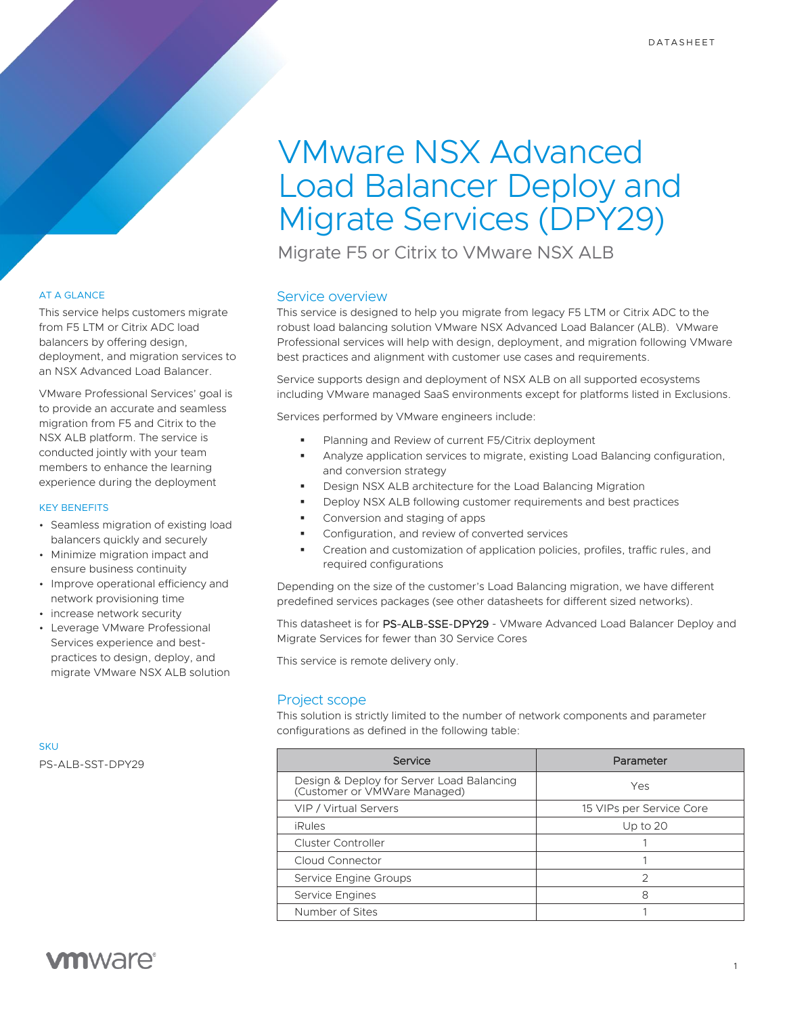# VMware NSX Advanced Load Balancer Deploy and Migrate Services (DPY29)

Migrate F5 or Citrix to VMware NSX ALB

# Service overview

This service is designed to help you migrate from legacy F5 LTM or Citrix ADC to the robust load balancing solution VMware NSX Advanced Load Balancer (ALB). VMware Professional services will help with design, deployment, and migration following VMware best practices and alignment with customer use cases and requirements.

Service supports design and deployment of NSX ALB on all supported ecosystems including VMware managed SaaS environments except for platforms listed in Exclusions.

Services performed by VMware engineers include:

- Planning and Review of current F5/Citrix deployment
- Analyze application services to migrate, existing Load Balancing configuration, and conversion strategy
- Design NSX ALB architecture for the Load Balancing Migration
- Deploy NSX ALB following customer requirements and best practices
- Conversion and staging of apps
- Configuration, and review of converted services
- Creation and customization of application policies, profiles, traffic rules, and required configurations

Depending on the size of the customer's Load Balancing migration, we have different predefined services packages (see other datasheets for different sized networks).

This datasheet is for PS-ALB-SSE-DPY29 - VMware Advanced Load Balancer Deploy and Migrate Services for fewer than 30 Service Cores

This service is remote delivery only.

# Project scope

This solution is strictly limited to the number of network components and parameter configurations as defined in the following table:

| Service                                                                   | Parameter                |
|---------------------------------------------------------------------------|--------------------------|
| Design & Deploy for Server Load Balancing<br>(Customer or VMWare Managed) | Yes                      |
| VIP / Virtual Servers                                                     | 15 VIPs per Service Core |
| <b>iRules</b>                                                             | Up to $20$               |
| <b>Cluster Controller</b>                                                 |                          |
| Cloud Connector                                                           |                          |
| Service Engine Groups                                                     | 2                        |
| Service Engines                                                           | 8                        |
| Number of Sites                                                           |                          |

# AT A GLANCE

This service helps customers migrate from F5 LTM or Citrix ADC load balancers by offering design, deployment, and migration services to an NSX Advanced Load Balancer.

VMware Professional Services' goal is to provide an accurate and seamless migration from F5 and Citrix to the NSX ALB platform. The service is conducted jointly with your team members to enhance the learning experience during the deployment

## KEY BENEFITS

- Seamless migration of existing load balancers quickly and securely
- Minimize migration impact and ensure business continuity
- Improve operational efficiency and network provisioning time
- increase network security
- Leverage VMware Professional Services experience and bestpractices to design, deploy, and migrate VMware NSX ALB solution

**SKU** PS-ALB-SST-DPY29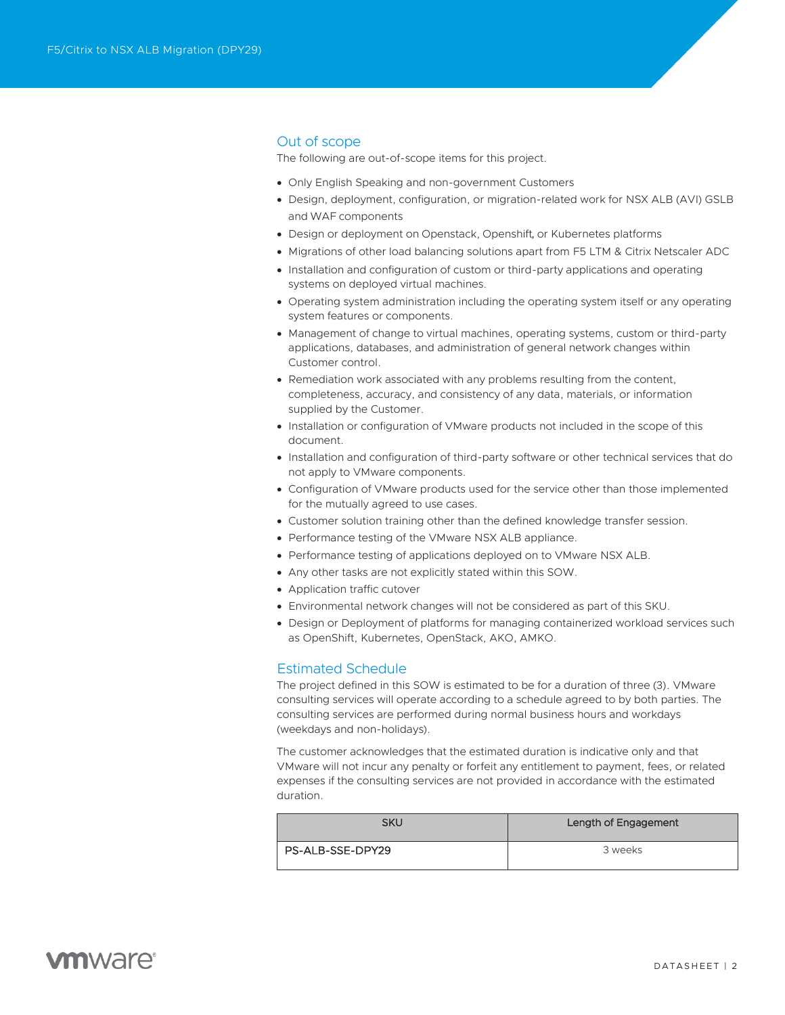# Out of scope

The following are out-of-scope items for this project.

- Only English Speaking and non-government Customers
- Design, deployment, configuration, or migration-related work for NSX ALB (AVI) GSLB and WAF components
- Design or deployment on Openstack, Openshift, or Kubernetes platforms
- Migrations of other load balancing solutions apart from F5 LTM & Citrix Netscaler ADC
- Installation and configuration of custom or third-party applications and operating systems on deployed virtual machines.
- Operating system administration including the operating system itself or any operating system features or components.
- Management of change to virtual machines, operating systems, custom or third-party applications, databases, and administration of general network changes within Customer control.
- Remediation work associated with any problems resulting from the content, completeness, accuracy, and consistency of any data, materials, or information supplied by the Customer.
- Installation or configuration of VMware products not included in the scope of this document.
- Installation and configuration of third-party software or other technical services that do not apply to VMware components.
- Configuration of VMware products used for the service other than those implemented for the mutually agreed to use cases.
- Customer solution training other than the defined knowledge transfer session.
- Performance testing of the VMware NSX ALB appliance.
- Performance testing of applications deployed on to VMware NSX ALB.
- Any other tasks are not explicitly stated within this SOW.
- Application traffic cutover
- Environmental network changes will not be considered as part of this SKU.
- Design or Deployment of platforms for managing containerized workload services such as OpenShift, Kubernetes, OpenStack, AKO, AMKO.

# Estimated Schedule

The project defined in this SOW is estimated to be for a duration of three (3). VMware consulting services will operate according to a schedule agreed to by both parties. The consulting services are performed during normal business hours and workdays (weekdays and non-holidays).

The customer acknowledges that the estimated duration is indicative only and that VMware will not incur any penalty or forfeit any entitlement to payment, fees, or related expenses if the consulting services are not provided in accordance with the estimated duration.

| SKU              | Length of Engagement |
|------------------|----------------------|
| PS-ALB-SSE-DPY29 | 3 weeks              |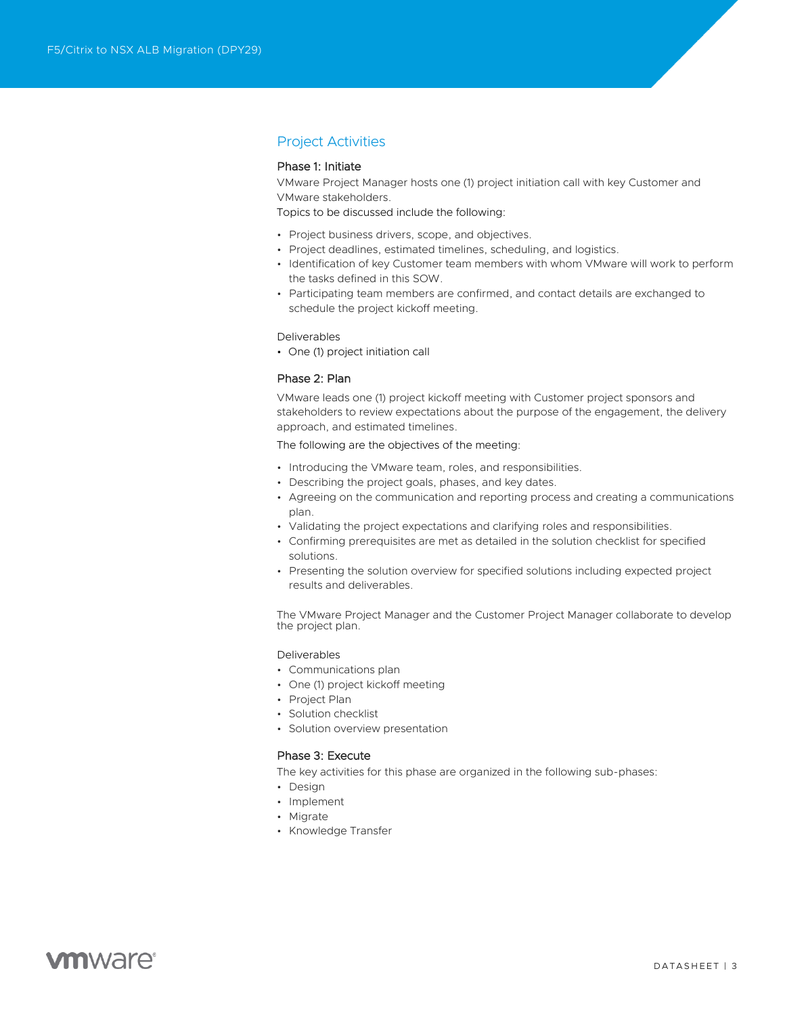# Project Activities

# Phase 1: Initiate

VMware Project Manager hosts one (1) project initiation call with key Customer and VMware stakeholders.

Topics to be discussed include the following:

- Project business drivers, scope, and objectives.
- Project deadlines, estimated timelines, scheduling, and logistics.
- Identification of key Customer team members with whom VMware will work to perform the tasks defined in this SOW.
- Participating team members are confirmed, and contact details are exchanged to schedule the project kickoff meeting.

#### Deliverables

• One (1) project initiation call

## Phase 2: Plan

VMware leads one (1) project kickoff meeting with Customer project sponsors and stakeholders to review expectations about the purpose of the engagement, the delivery approach, and estimated timelines.

The following are the objectives of the meeting:

- Introducing the VMware team, roles, and responsibilities.
- Describing the project goals, phases, and key dates.
- Agreeing on the communication and reporting process and creating a communications plan.
- Validating the project expectations and clarifying roles and responsibilities.
- Confirming prerequisites are met as detailed in the solution checklist for specified solutions.
- Presenting the solution overview for specified solutions including expected project results and deliverables.

The VMware Project Manager and the Customer Project Manager collaborate to develop the project plan.

## Deliverables

- Communications plan
- One (1) project kickoff meeting
- Project Plan
- Solution checklist
- Solution overview presentation

## Phase 3: Execute

The key activities for this phase are organized in the following sub-phases:

- Design
- Implement
- Migrate
- Knowledge Transfer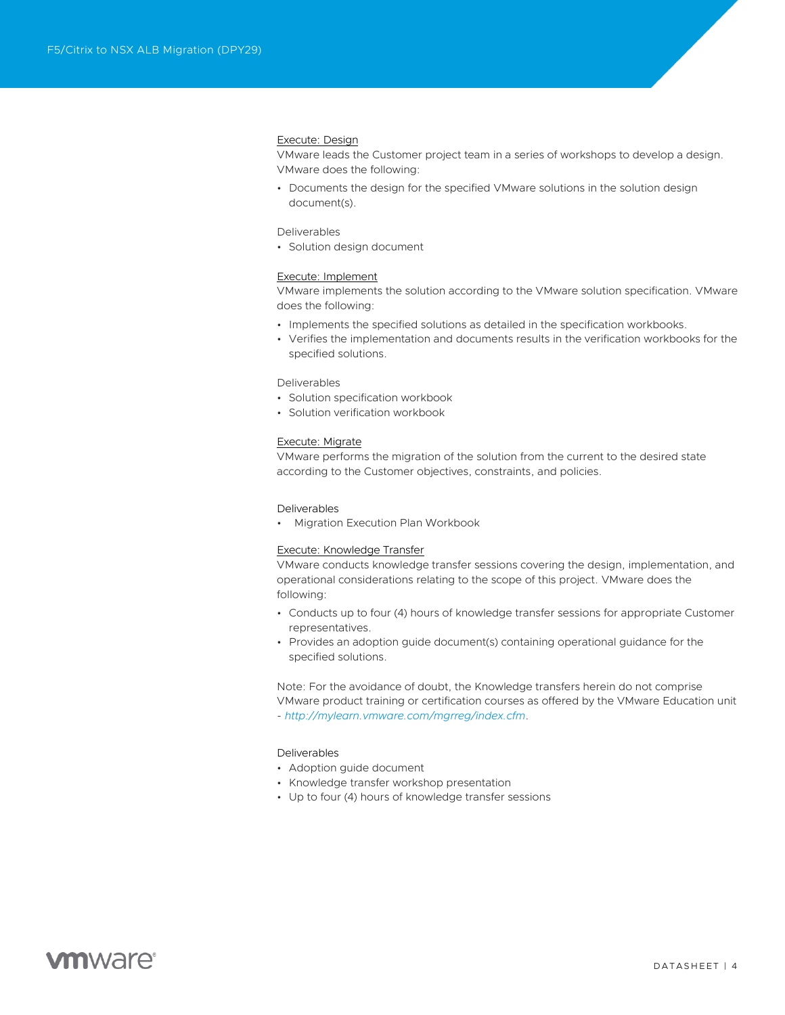## Execute: Design

VMware leads the Customer project team in a series of workshops to develop a design. VMware does the following:

• Documents the design for the specified VMware solutions in the solution design document(s).

#### Deliverables

• Solution design document

#### Execute: Implement

VMware implements the solution according to the VMware solution specification. VMware does the following:

- Implements the specified solutions as detailed in the specification workbooks.
- Verifies the implementation and documents results in the verification workbooks for the specified solutions.

## Deliverables

- Solution specification workbook
- Solution verification workbook

#### Execute: Migrate

VMware performs the migration of the solution from the current to the desired state according to the Customer objectives, constraints, and policies.

#### Deliverables

• Migration Execution Plan Workbook

#### Execute: Knowledge Transfer

VMware conducts knowledge transfer sessions covering the design, implementation, and operational considerations relating to the scope of this project. VMware does the following:

- Conducts up to four (4) hours of knowledge transfer sessions for appropriate Customer representatives.
- Provides an adoption guide document(s) containing operational guidance for the specified solutions.

Note: For the avoidance of doubt, the Knowledge transfers herein do not comprise VMware product training or certification courses as offered by the VMware Education unit - *<http://mylearn.vmware.com/mgrreg/index.cfm>*.

### Deliverables

- Adoption guide document
- Knowledge transfer workshop presentation
- Up to four (4) hours of knowledge transfer sessions